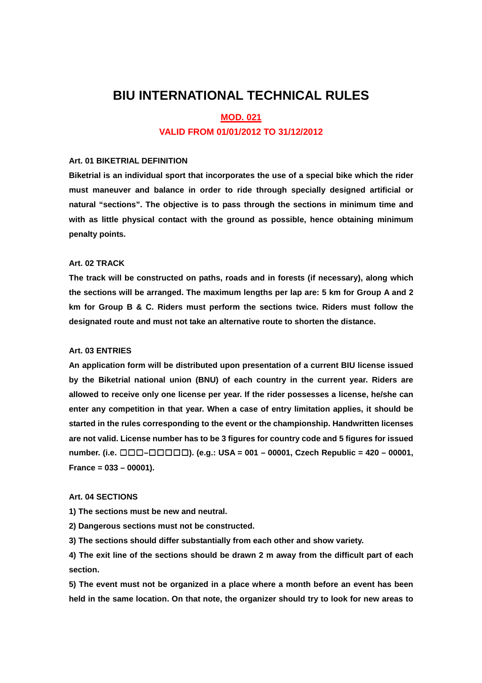# **BIU INTERNATIONAL TECHNICAL RULES**

#### **MOD. 021**

### **VALID FROM 01/01/2012 TO 31/12/2012**

#### **Art. 01 BIKETRIAL DEFINITION**

**Biketrial is an individual sport that incorporates the use of a special bike which the rider must maneuver and balance in order to ride through specially designed artificial or natural "sections". The objective is to pass through the sections in minimum time and with as little physical contact with the ground as possible, hence obtaining minimum penalty points.**

### **Art. 02 TRACK**

**The track will be constructed on paths, roads and in forests (if necessary), along which the sections will be arranged. The maximum lengths per lap are: 5 km for Group A and 2 km for Group B & C. Riders must perform the sections twice. Riders must follow the designated route and must not take an alternative route to shorten the distance.**

#### **Art. 03 ENTRIES**

**An application form will be distributed upon presentation of a current BIU license issued by the Biketrial national union (BNU) of each country in the current year. Riders are allowed to receive only one license per year. If the rider possesses a license, he/she can enter any competition in that year. When a case of entry limitation applies, it should be started in the rules corresponding to the event or the championship. Handwritten licenses are not valid. License number has to be 3 figures for country code and 5 figures for issued number. (i.e.** ☐☐☐**–**☐☐☐☐☐**). (e.g.: USA = 001 – 00001, Czech Republic = 420 – 00001, France = 033 – 00001).** 

#### **Art. 04 SECTIONS**

**1) The sections must be new and neutral.** 

**2) Dangerous sections must not be constructed.** 

**3) The sections should differ substantially from each other and show variety.** 

**4) The exit line of the sections should be drawn 2 m away from the difficult part of each section.** 

**5) The event must not be organized in a place where a month before an event has been held in the same location. On that note, the organizer should try to look for new areas to**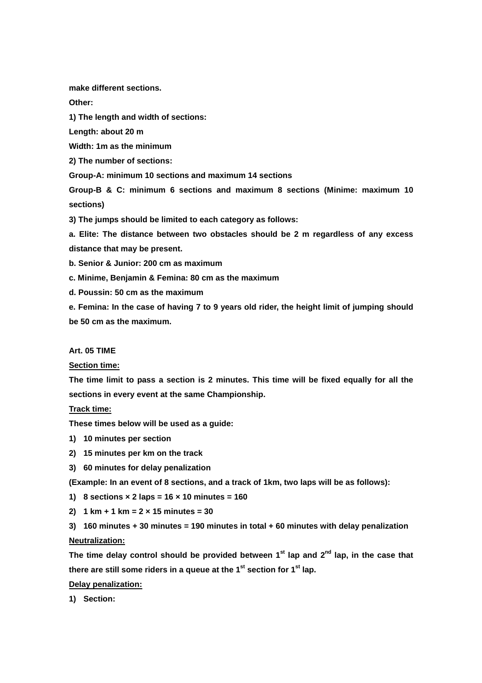**make different sections.** 

**Other:** 

**1) The length and width of sections:** 

**Length: about 20 m** 

**Width: 1m as the minimum** 

**2) The number of sections:** 

**Group-A: minimum 10 sections and maximum 14 sections** 

**Group-B & C: minimum 6 sections and maximum 8 sections (Minime: maximum 10 sections)** 

**3) The jumps should be limited to each category as follows:** 

**a. Elite: The distance between two obstacles should be 2 m regardless of any excess distance that may be present.** 

**b. Senior & Junior: 200 cm as maximum** 

**c. Minime, Benjamin & Femina: 80 cm as the maximum** 

**d. Poussin: 50 cm as the maximum** 

**e. Femina: In the case of having 7 to 9 years old rider, the height limit of jumping should be 50 cm as the maximum.** 

### **Art. 05 TIME**

**Section time:**

**The time limit to pass a section is 2 minutes. This time will be fixed equally for all the sections in every event at the same Championship.** 

**Track time:**

**These times below will be used as a guide:** 

- **1) 10 minutes per section**
- **2) 15 minutes per km on the track**
- **3) 60 minutes for delay penalization**

**(Example: In an event of 8 sections, and a track of 1km, two laps will be as follows):** 

- **1) 8 sections × 2 laps = 16 × 10 minutes = 160**
- **2) 1 km + 1 km = 2 × 15 minutes = 30**

**3) 160 minutes + 30 minutes = 190 minutes in total + 60 minutes with delay penalization Neutralization:**

**The time delay control should be provided between 1st lap and 2nd lap, in the case that there are still some riders in a queue at the 1st section for 1st lap.** 

#### **Delay penalization:**

**1) Section:**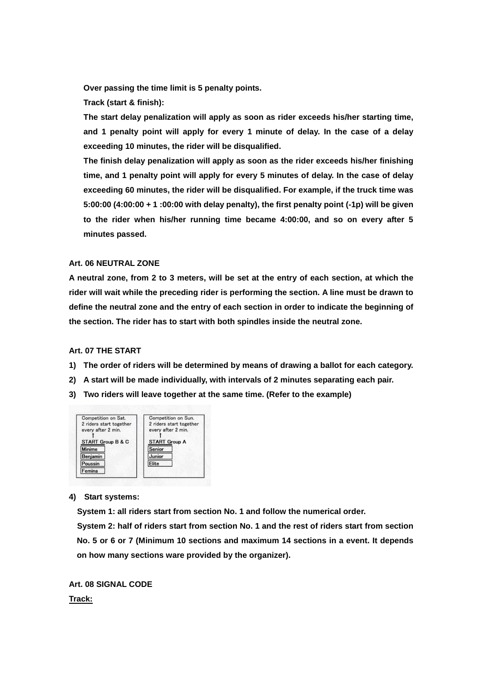**Over passing the time limit is 5 penalty points.** 

**Track (start & finish):** 

**The start delay penalization will apply as soon as rider exceeds his/her starting time, and 1 penalty point will apply for every 1 minute of delay. In the case of a delay exceeding 10 minutes, the rider will be disqualified.** 

**The finish delay penalization will apply as soon as the rider exceeds his/her finishing time, and 1 penalty point will apply for every 5 minutes of delay. In the case of delay exceeding 60 minutes, the rider will be disqualified. For example, if the truck time was 5:00:00 (4:00:00 + 1 :00:00 with delay penalty), the first penalty point (-1p) will be given to the rider when his/her running time became 4:00:00, and so on every after 5 minutes passed.** 

### **Art. 06 NEUTRAL ZONE**

**A neutral zone, from 2 to 3 meters, will be set at the entry of each section, at which the rider will wait while the preceding rider is performing the section. A line must be drawn to define the neutral zone and the entry of each section in order to indicate the beginning of the section. The rider has to start with both spindles inside the neutral zone.** 

#### **Art. 07 THE START**

- **1) The order of riders will be determined by means of drawing a ballot for each category.**
- **2) A start will be made individually, with intervals of 2 minutes separating each pair.**
- **3) Two riders will leave together at the same time. (Refer to the example)**



#### **4) Start systems:**

 **System 1: all riders start from section No. 1 and follow the numerical order. System 2: half of riders start from section No. 1 and the rest of riders start from section No. 5 or 6 or 7 (Minimum 10 sections and maximum 14 sections in a event. It depends on how many sections ware provided by the organizer).** 

**Art. 08 SIGNAL CODE Track:**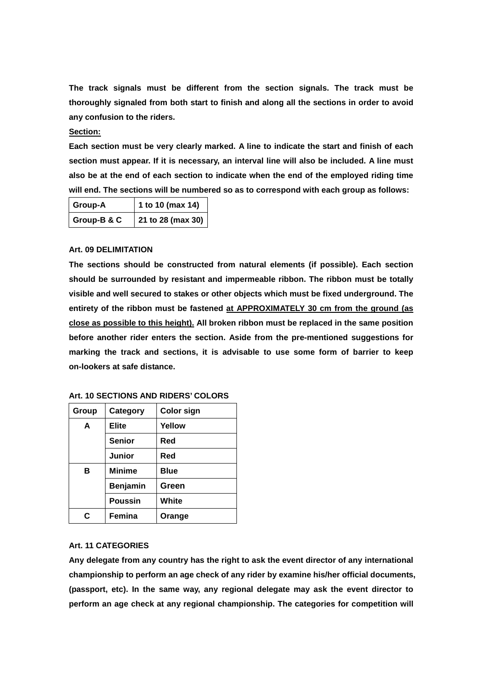**The track signals must be different from the section signals. The track must be thoroughly signaled from both start to finish and along all the sections in order to avoid any confusion to the riders.** 

#### **Section:**

**Each section must be very clearly marked. A line to indicate the start and finish of each section must appear. If it is necessary, an interval line will also be included. A line must also be at the end of each section to indicate when the end of the employed riding time will end. The sections will be numbered so as to correspond with each group as follows:** 

| Group-A     | 1 to 10 (max 14)  |
|-------------|-------------------|
| Group-B & C | 21 to 28 (max 30) |

### **Art. 09 DELIMITATION**

**The sections should be constructed from natural elements (if possible). Each section should be surrounded by resistant and impermeable ribbon. The ribbon must be totally visible and well secured to stakes or other objects which must be fixed underground. The entirety of the ribbon must be fastened at APPROXIMATELY 30 cm from the ground (as close as possible to this height). All broken ribbon must be replaced in the same position before another rider enters the section. Aside from the pre-mentioned suggestions for marking the track and sections, it is advisable to use some form of barrier to keep on-lookers at safe distance.** 

| Group | Category        | <b>Color sign</b> |
|-------|-----------------|-------------------|
| A     | <b>Elite</b>    | Yellow            |
|       | <b>Senior</b>   | Red               |
|       | Junior          | Red               |
| в     | <b>Minime</b>   | <b>Blue</b>       |
|       | <b>Benjamin</b> | Green             |
|       | <b>Poussin</b>  | White             |
| r.    | Femina          | Orange            |

**Art. 10 SECTIONS AND RIDERS' COLORS** 

### **Art. 11 CATEGORIES**

**Any delegate from any country has the right to ask the event director of any international championship to perform an age check of any rider by examine his/her official documents, (passport, etc). In the same way, any regional delegate may ask the event director to perform an age check at any regional championship. The categories for competition will**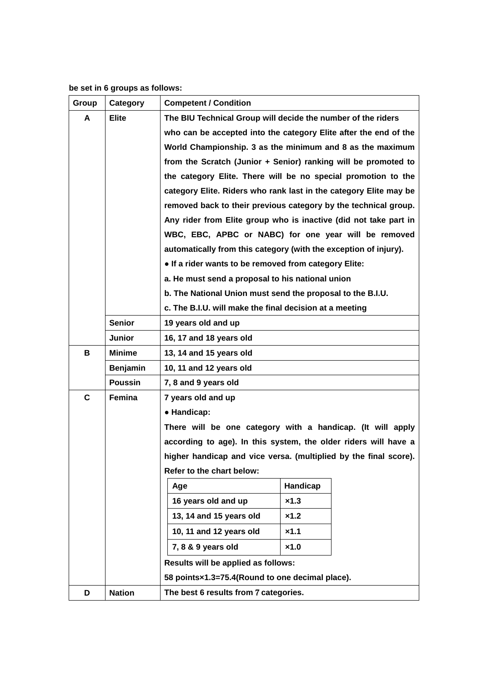# **be set in 6 groups as follows:**

| Group | Category        | <b>Competent / Condition</b>                                      |                                                                  |  |  |  |  |  |  |  |  |  |
|-------|-----------------|-------------------------------------------------------------------|------------------------------------------------------------------|--|--|--|--|--|--|--|--|--|
| A     | <b>Elite</b>    | The BIU Technical Group will decide the number of the riders      |                                                                  |  |  |  |  |  |  |  |  |  |
|       |                 |                                                                   | who can be accepted into the category Elite after the end of the |  |  |  |  |  |  |  |  |  |
|       |                 |                                                                   | World Championship. 3 as the minimum and 8 as the maximum        |  |  |  |  |  |  |  |  |  |
|       |                 | from the Scratch (Junior + Senior) ranking will be promoted to    |                                                                  |  |  |  |  |  |  |  |  |  |
|       |                 | the category Elite. There will be no special promotion to the     |                                                                  |  |  |  |  |  |  |  |  |  |
|       |                 | category Elite. Riders who rank last in the category Elite may be |                                                                  |  |  |  |  |  |  |  |  |  |
|       |                 | removed back to their previous category by the technical group.   |                                                                  |  |  |  |  |  |  |  |  |  |
|       |                 | Any rider from Elite group who is inactive (did not take part in  |                                                                  |  |  |  |  |  |  |  |  |  |
|       |                 | WBC, EBC, APBC or NABC) for one year will be removed              |                                                                  |  |  |  |  |  |  |  |  |  |
|       |                 | automatically from this category (with the exception of injury).  |                                                                  |  |  |  |  |  |  |  |  |  |
|       |                 | . If a rider wants to be removed from category Elite:             |                                                                  |  |  |  |  |  |  |  |  |  |
|       |                 | a. He must send a proposal to his national union                  |                                                                  |  |  |  |  |  |  |  |  |  |
|       |                 | b. The National Union must send the proposal to the B.I.U.        |                                                                  |  |  |  |  |  |  |  |  |  |
|       |                 | c. The B.I.U. will make the final decision at a meeting           |                                                                  |  |  |  |  |  |  |  |  |  |
|       | <b>Senior</b>   | 19 years old and up                                               |                                                                  |  |  |  |  |  |  |  |  |  |
|       | <b>Junior</b>   | 16, 17 and 18 years old                                           |                                                                  |  |  |  |  |  |  |  |  |  |
| в     | <b>Minime</b>   | 13, 14 and 15 years old                                           |                                                                  |  |  |  |  |  |  |  |  |  |
|       | <b>Benjamin</b> | 10, 11 and 12 years old                                           |                                                                  |  |  |  |  |  |  |  |  |  |
|       | <b>Poussin</b>  | 7, 8 and 9 years old                                              |                                                                  |  |  |  |  |  |  |  |  |  |
| C     | Femina          | 7 years old and up                                                |                                                                  |  |  |  |  |  |  |  |  |  |
|       |                 | • Handicap:                                                       |                                                                  |  |  |  |  |  |  |  |  |  |
|       |                 | There will be one category with a handicap. (It will apply        |                                                                  |  |  |  |  |  |  |  |  |  |
|       |                 | according to age). In this system, the older riders will have a   |                                                                  |  |  |  |  |  |  |  |  |  |
|       |                 | higher handicap and vice versa. (multiplied by the final score).  |                                                                  |  |  |  |  |  |  |  |  |  |
|       |                 | Refer to the chart below:                                         |                                                                  |  |  |  |  |  |  |  |  |  |
|       |                 | Age                                                               | Handicap                                                         |  |  |  |  |  |  |  |  |  |
|       |                 | 16 years old and up                                               | x1.3                                                             |  |  |  |  |  |  |  |  |  |
|       |                 | 13, 14 and 15 years old                                           | x1.2                                                             |  |  |  |  |  |  |  |  |  |
|       |                 | 10, 11 and 12 years old                                           | x1.1                                                             |  |  |  |  |  |  |  |  |  |
|       |                 | 7, 8 & 9 years old<br>x1.0                                        |                                                                  |  |  |  |  |  |  |  |  |  |
|       |                 | Results will be applied as follows:                               |                                                                  |  |  |  |  |  |  |  |  |  |
|       |                 | 58 points×1.3=75.4(Round to one decimal place).                   |                                                                  |  |  |  |  |  |  |  |  |  |
| D     | <b>Nation</b>   | The best 6 results from 7 categories.                             |                                                                  |  |  |  |  |  |  |  |  |  |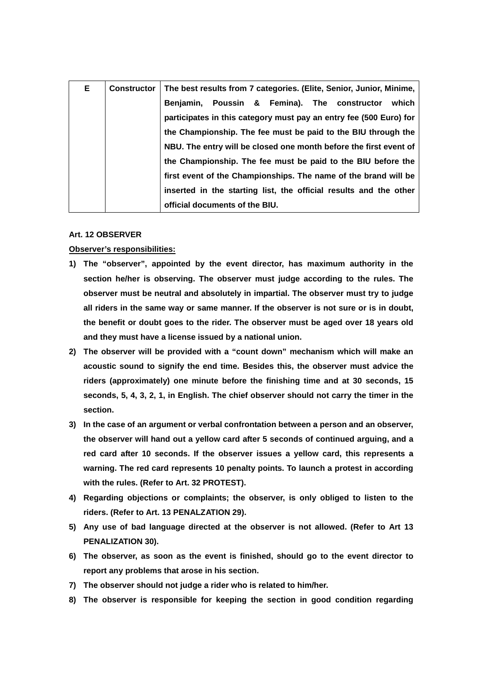| Е. | <b>Constructor</b> | The best results from 7 categories. (Elite, Senior, Junior, Minime, |  |  |  |  |  |  |  |
|----|--------------------|---------------------------------------------------------------------|--|--|--|--|--|--|--|
|    |                    | Benjamin, Poussin & Femina). The constructor<br>which               |  |  |  |  |  |  |  |
|    |                    | participates in this category must pay an entry fee (500 Euro) for  |  |  |  |  |  |  |  |
|    |                    | the Championship. The fee must be paid to the BIU through the       |  |  |  |  |  |  |  |
|    |                    | NBU. The entry will be closed one month before the first event of   |  |  |  |  |  |  |  |
|    |                    | the Championship. The fee must be paid to the BIU before the        |  |  |  |  |  |  |  |
|    |                    | first event of the Championships. The name of the brand will be     |  |  |  |  |  |  |  |
|    |                    | inserted in the starting list, the official results and the other   |  |  |  |  |  |  |  |
|    |                    | official documents of the BIU.                                      |  |  |  |  |  |  |  |

#### **Art. 12 OBSERVER**

### **Observer's responsibilities:**

- **1) The "observer", appointed by the event director, has maximum authority in the section he/her is observing. The observer must judge according to the rules. The observer must be neutral and absolutely in impartial. The observer must try to judge all riders in the same way or same manner. If the observer is not sure or is in doubt, the benefit or doubt goes to the rider. The observer must be aged over 18 years old and they must have a license issued by a national union.**
- **2) The observer will be provided with a "count down" mechanism which will make an acoustic sound to signify the end time. Besides this, the observer must advice the riders (approximately) one minute before the finishing time and at 30 seconds, 15 seconds, 5, 4, 3, 2, 1, in English. The chief observer should not carry the timer in the section.**
- **3) In the case of an argument or verbal confrontation between a person and an observer, the observer will hand out a yellow card after 5 seconds of continued arguing, and a red card after 10 seconds. If the observer issues a yellow card, this represents a warning. The red card represents 10 penalty points. To launch a protest in according with the rules. (Refer to Art. 32 PROTEST).**
- **4) Regarding objections or complaints; the observer, is only obliged to listen to the riders. (Refer to Art. 13 PENALZATION 29).**
- **5) Any use of bad language directed at the observer is not allowed. (Refer to Art 13 PENALIZATION 30).**
- **6) The observer, as soon as the event is finished, should go to the event director to report any problems that arose in his section.**
- **7) The observer should not judge a rider who is related to him/her.**
- **8) The observer is responsible for keeping the section in good condition regarding**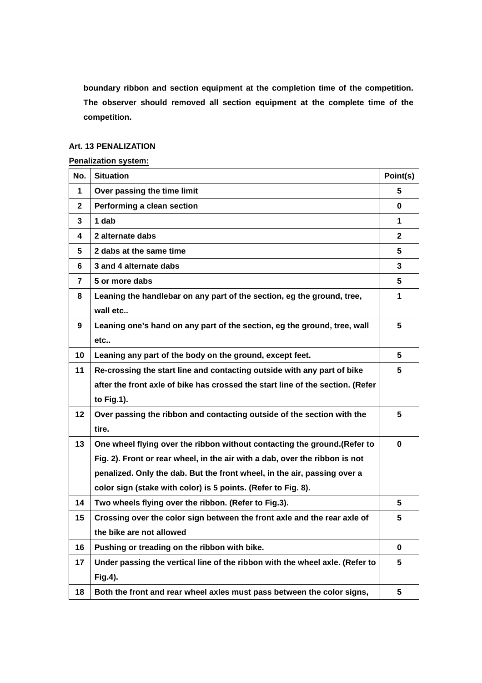**boundary ribbon and section equipment at the completion time of the competition. The observer should removed all section equipment at the complete time of the competition.** 

### **Art. 13 PENALIZATION**

### **Penalization system:**

| No.                     | <b>Situation</b>                                                               | Point(s)     |
|-------------------------|--------------------------------------------------------------------------------|--------------|
| $\mathbf 1$             | Over passing the time limit                                                    | 5            |
| $\mathbf{2}$            | Performing a clean section                                                     | 0            |
| 3                       | 1 dab                                                                          | 1            |
| 4                       | 2 alternate dabs                                                               | $\mathbf{2}$ |
| 5.                      | 2 dabs at the same time                                                        | 5.           |
| 6                       | 3 and 4 alternate dabs                                                         | 3            |
| $\overline{\mathbf{r}}$ | 5 or more dabs                                                                 | 5            |
| 8                       | Leaning the handlebar on any part of the section, eg the ground, tree,         | 1            |
|                         | wall etc                                                                       |              |
| 9                       | Leaning one's hand on any part of the section, eg the ground, tree, wall       | 5            |
|                         | etc                                                                            |              |
| 10                      | Leaning any part of the body on the ground, except feet.                       | 5            |
| 11                      | Re-crossing the start line and contacting outside with any part of bike        | 5            |
|                         | after the front axle of bike has crossed the start line of the section. (Refer |              |
|                         | to Fig.1).                                                                     |              |
| 12                      | Over passing the ribbon and contacting outside of the section with the         | 5            |
|                         | tire.                                                                          |              |
| 13                      | One wheel flying over the ribbon without contacting the ground. (Refer to      | $\bf{0}$     |
|                         | Fig. 2). Front or rear wheel, in the air with a dab, over the ribbon is not    |              |
|                         | penalized. Only the dab. But the front wheel, in the air, passing over a       |              |
|                         | color sign (stake with color) is 5 points. (Refer to Fig. 8).                  |              |
| 14                      | Two wheels flying over the ribbon. (Refer to Fig.3).                           | 5            |
| 15                      | Crossing over the color sign between the front axle and the rear axle of       | 5            |
|                         | the bike are not allowed                                                       |              |
| 16                      | Pushing or treading on the ribbon with bike.                                   | $\mathbf 0$  |
| 17                      | Under passing the vertical line of the ribbon with the wheel axle. (Refer to   | 5            |
|                         | Fig.4).                                                                        |              |
| 18                      | Both the front and rear wheel axles must pass between the color signs,         | 5            |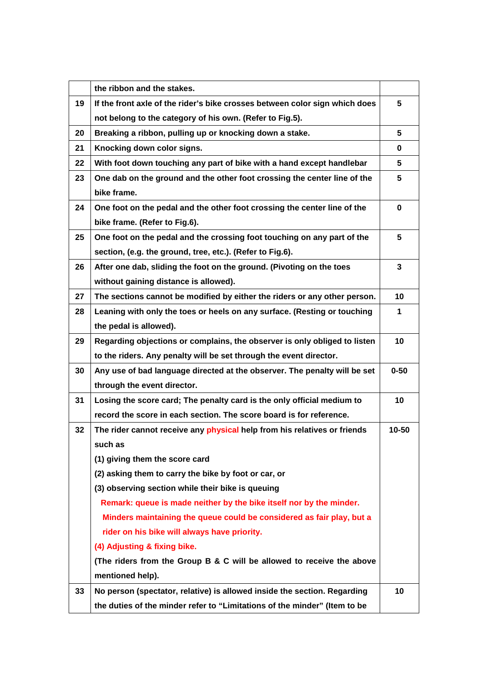|    | the ribbon and the stakes.                                                  |           |
|----|-----------------------------------------------------------------------------|-----------|
| 19 | If the front axle of the rider's bike crosses between color sign which does | 5         |
|    | not belong to the category of his own. (Refer to Fig.5).                    |           |
| 20 | Breaking a ribbon, pulling up or knocking down a stake.                     | 5         |
| 21 | Knocking down color signs.                                                  | 0         |
| 22 | With foot down touching any part of bike with a hand except handlebar       | 5         |
| 23 | One dab on the ground and the other foot crossing the center line of the    | 5         |
|    | bike frame.                                                                 |           |
| 24 | One foot on the pedal and the other foot crossing the center line of the    | 0         |
|    | bike frame. (Refer to Fig.6).                                               |           |
| 25 | One foot on the pedal and the crossing foot touching on any part of the     | 5         |
|    | section, (e.g. the ground, tree, etc.). (Refer to Fig.6).                   |           |
| 26 | After one dab, sliding the foot on the ground. (Pivoting on the toes        | 3         |
|    | without gaining distance is allowed).                                       |           |
| 27 | The sections cannot be modified by either the riders or any other person.   | 10        |
| 28 | Leaning with only the toes or heels on any surface. (Resting or touching    | 1         |
|    | the pedal is allowed).                                                      |           |
| 29 | Regarding objections or complains, the observer is only obliged to listen   | 10        |
|    | to the riders. Any penalty will be set through the event director.          |           |
| 30 | Any use of bad language directed at the observer. The penalty will be set   | $0 - 50$  |
|    | through the event director.                                                 |           |
| 31 | Losing the score card; The penalty card is the only official medium to      | 10        |
|    | record the score in each section. The score board is for reference.         |           |
| 32 | The rider cannot receive any physical help from his relatives or friends    | $10 - 50$ |
|    | such as                                                                     |           |
|    | (1) giving them the score card                                              |           |
|    | (2) asking them to carry the bike by foot or car, or                        |           |
|    | (3) observing section while their bike is queuing                           |           |
|    | Remark: queue is made neither by the bike itself nor by the minder.         |           |
|    | Minders maintaining the queue could be considered as fair play, but a       |           |
|    | rider on his bike will always have priority.                                |           |
|    | (4) Adjusting & fixing bike.                                                |           |
|    | (The riders from the Group B & C will be allowed to receive the above       |           |
|    | mentioned help).                                                            |           |
| 33 | No person (spectator, relative) is allowed inside the section. Regarding    | 10        |
|    | the duties of the minder refer to "Limitations of the minder" (Item to be   |           |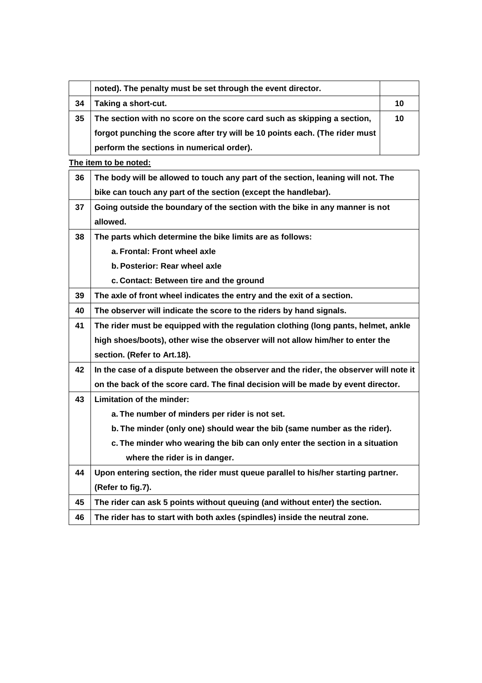|    | noted). The penalty must be set through the event director.                 |    |
|----|-----------------------------------------------------------------------------|----|
| 34 | Taking a short-cut.                                                         | 10 |
| 35 | The section with no score on the score card such as skipping a section,     | 10 |
|    | forgot punching the score after try will be 10 points each. (The rider must |    |
|    | perform the sections in numerical order).                                   |    |

**The item to be noted:**

| 36 | The body will be allowed to touch any part of the section, leaning will not. The       |
|----|----------------------------------------------------------------------------------------|
|    | bike can touch any part of the section (except the handlebar).                         |
| 37 | Going outside the boundary of the section with the bike in any manner is not           |
|    | allowed.                                                                               |
| 38 | The parts which determine the bike limits are as follows:                              |
|    | a. Frontal: Front wheel axle                                                           |
|    | b. Posterior: Rear wheel axle                                                          |
|    | c. Contact: Between tire and the ground                                                |
| 39 | The axle of front wheel indicates the entry and the exit of a section.                 |
| 40 | The observer will indicate the score to the riders by hand signals.                    |
| 41 | The rider must be equipped with the regulation clothing (long pants, helmet, ankle     |
|    | high shoes/boots), other wise the observer will not allow him/her to enter the         |
|    | section. (Refer to Art.18).                                                            |
| 42 | In the case of a dispute between the observer and the rider, the observer will note it |
|    | on the back of the score card. The final decision will be made by event director.      |
| 43 | Limitation of the minder:                                                              |
|    | a. The number of minders per rider is not set.                                         |
|    | b. The minder (only one) should wear the bib (same number as the rider).               |
|    | c. The minder who wearing the bib can only enter the section in a situation            |
|    | where the rider is in danger.                                                          |
| 44 | Upon entering section, the rider must queue parallel to his/her starting partner.      |
|    | (Refer to fig.7).                                                                      |
| 45 | The rider can ask 5 points without queuing (and without enter) the section.            |
| 46 | The rider has to start with both axles (spindles) inside the neutral zone.             |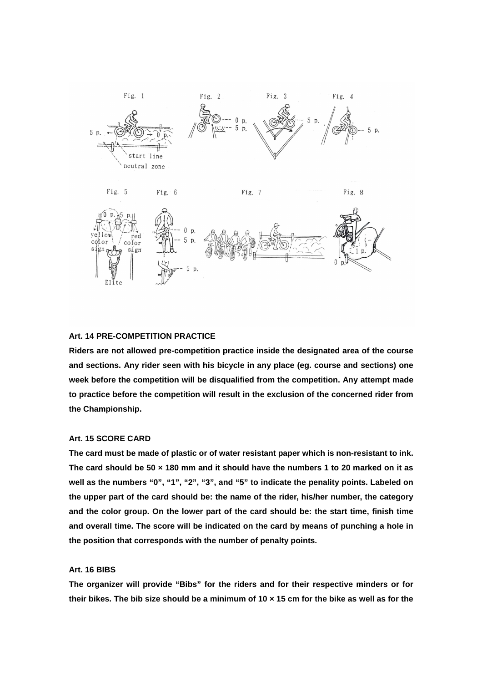

#### **Art. 14 PRE-COMPETITION PRACTICE**

**Riders are not allowed pre-competition practice inside the designated area of the course and sections. Any rider seen with his bicycle in any place (eg. course and sections) one week before the competition will be disqualified from the competition. Any attempt made to practice before the competition will result in the exclusion of the concerned rider from the Championship.** 

### **Art. 15 SCORE CARD**

**The card must be made of plastic or of water resistant paper which is non-resistant to ink. The card should be 50 × 180 mm and it should have the numbers 1 to 20 marked on it as well as the numbers "0", "1", "2", "3", and "5" to indicate the penality points. Labeled on the upper part of the card should be: the name of the rider, his/her number, the category and the color group. On the lower part of the card should be: the start time, finish time and overall time. The score will be indicated on the card by means of punching a hole in the position that corresponds with the number of penalty points.** 

#### **Art. 16 BIBS**

**The organizer will provide "Bibs" for the riders and for their respective minders or for their bikes. The bib size should be a minimum of 10 × 15 cm for the bike as well as for the**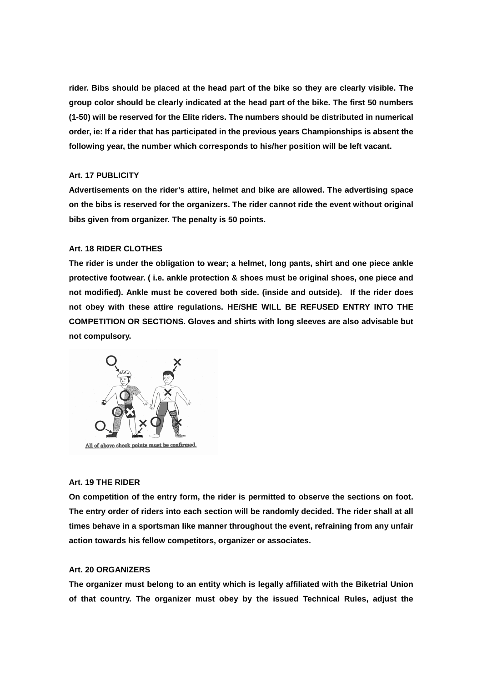**rider. Bibs should be placed at the head part of the bike so they are clearly visible. The group color should be clearly indicated at the head part of the bike. The first 50 numbers (1-50) will be reserved for the Elite riders. The numbers should be distributed in numerical order, ie: If a rider that has participated in the previous years Championships is absent the following year, the number which corresponds to his/her position will be left vacant.** 

### **Art. 17 PUBLICITY**

**Advertisements on the rider's attire, helmet and bike are allowed. The advertising space on the bibs is reserved for the organizers. The rider cannot ride the event without original bibs given from organizer. The penalty is 50 points.** 

### **Art. 18 RIDER CLOTHES**

**The rider is under the obligation to wear; a helmet, long pants, shirt and one piece ankle protective footwear. ( i.e. ankle protection & shoes must be original shoes, one piece and not modified). Ankle must be covered both side. (inside and outside). If the rider does not obey with these attire regulations. HE/SHE WILL BE REFUSED ENTRY INTO THE COMPETITION OR SECTIONS. Gloves and shirts with long sleeves are also advisable but not compulsory.** 



All of above check points must be confirmed.

### **Art. 19 THE RIDER**

**On competition of the entry form, the rider is permitted to observe the sections on foot. The entry order of riders into each section will be randomly decided. The rider shall at all times behave in a sportsman like manner throughout the event, refraining from any unfair action towards his fellow competitors, organizer or associates.** 

#### **Art. 20 ORGANIZERS**

**The organizer must belong to an entity which is legally affiliated with the Biketrial Union of that country. The organizer must obey by the issued Technical Rules, adjust the**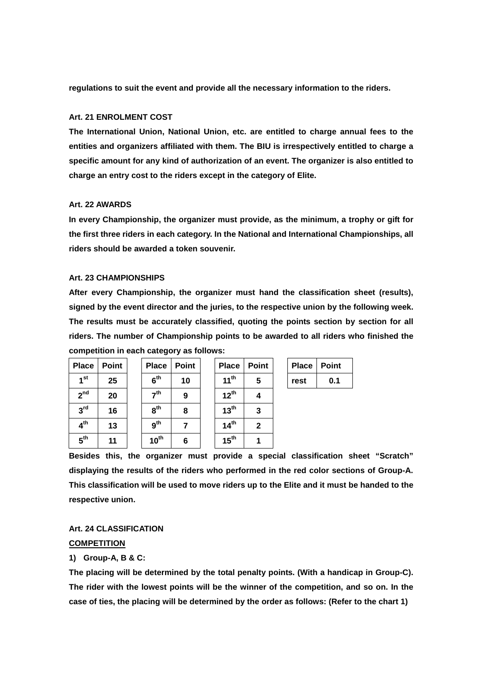**regulations to suit the event and provide all the necessary information to the riders.** 

#### **Art. 21 ENROLMENT COST**

**The International Union, National Union, etc. are entitled to charge annual fees to the entities and organizers affiliated with them. The BIU is irrespectively entitled to charge a specific amount for any kind of authorization of an event. The organizer is also entitled to charge an entry cost to the riders except in the category of Elite.** 

#### **Art. 22 AWARDS**

**In every Championship, the organizer must provide, as the minimum, a trophy or gift for the first three riders in each category. In the National and International Championships, all riders should be awarded a token souvenir.** 

#### **Art. 23 CHAMPIONSHIPS**

**After every Championship, the organizer must hand the classification sheet (results), signed by the event director and the juries, to the respective union by the following week. The results must be accurately classified, quoting the points section by section for all riders. The number of Championship points to be awarded to all riders who finished the competition in each category as follows:** 

| Place           | Point |
|-----------------|-------|
| 1 <sup>st</sup> | 25    |
| 2 <sup>nd</sup> | 20    |
| 3 <sup>rd</sup> | 16    |
| $4^{\text{th}}$ | 13    |
| 5 <sup>th</sup> | 11    |

|                 | <u>ompomon in oaon oatogory ao roiloitoi</u> |                 |              |                  |              |              |              |
|-----------------|----------------------------------------------|-----------------|--------------|------------------|--------------|--------------|--------------|
| <b>Place</b>    | <b>Point</b>                                 | <b>Place</b>    | <b>Point</b> | <b>Place</b>     | <b>Point</b> | <b>Place</b> | <b>Point</b> |
| 1 <sup>st</sup> | 25                                           | 6 <sup>th</sup> | 10           | 11 <sup>th</sup> | 5            | rest         | 0.1          |
| 2 <sup>nd</sup> | 20                                           | 7 <sup>th</sup> | 9            | $12^{th}$        | 4            |              |              |
| 3 <sup>rd</sup> | 16                                           | 8 <sup>th</sup> | 8            | 13 <sup>th</sup> | 3            |              |              |
| 4 <sup>th</sup> | 13                                           | 9 <sup>th</sup> |              | 14 <sup>th</sup> | $\mathbf{2}$ |              |              |
| 5 <sup>th</sup> | 11                                           | $10^{th}$       | 6            | 15 <sup>th</sup> |              |              |              |

| <b>Place</b> | Point |
|--------------|-------|
| rest         | 0.1   |

**Besides this, the organizer must provide a special classification sheet "Scratch" displaying the results of the riders who performed in the red color sections of Group-A. This classification will be used to move riders up to the Elite and it must be handed to the respective union.** 

### **Art. 24 CLASSIFICATION**

#### **COMPETITION**

#### **1) Group-A, B & C:**

**The placing will be determined by the total penalty points. (With a handicap in Group-C). The rider with the lowest points will be the winner of the competition, and so on. In the case of ties, the placing will be determined by the order as follows: (Refer to the chart 1)**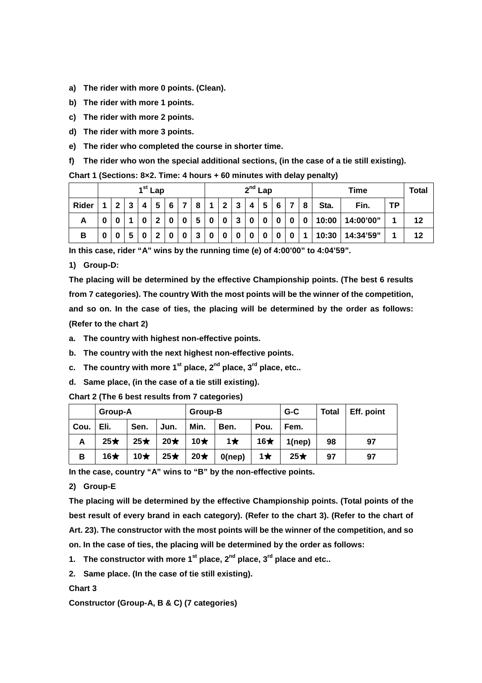- **a) The rider with more 0 points. (Clean).**
- **b) The rider with more 1 points.**
- **c) The rider with more 2 points.**
- **d) The rider with more 3 points.**
- **e) The rider who completed the course in shorter time.**

**f) The rider who won the special additional sections, (in the case of a tie still existing).** 

### **Chart 1 (Sections: 8×2. Time: 4 hours + 60 minutes with delay penalty)**

|       |   |   | $1st$ Lap   |   |   |   |   | $2^{nd}$ Lap |        |   |   |   |  |   |       | <b>Total</b> |           |    |
|-------|---|---|-------------|---|---|---|---|--------------|--------|---|---|---|--|---|-------|--------------|-----------|----|
| Rider | ົ | 4 | 5           | 6 |   | 8 |   | $\mathbf{2}$ | - 3    | 4 | 5 | 6 |  | 8 | Sta.  | Fin.         | <b>TP</b> |    |
| A     |   |   | $\mathbf 2$ | 0 | 0 | 5 | 0 | $\bf{0}$     | ີ<br>ν | 0 | 0 |   |  | 0 | 10:00 | 14:00'00"    |           | 12 |
| в     |   |   | $\mathbf 2$ | 0 | 0 | 3 | 0 | 0            |        |   | 0 |   |  |   | 10:30 | 14:34'59"    |           | 12 |

**In this case, rider "A" wins by the running time (e) of 4:00'00" to 4:04'59".** 

**1) Group-D:** 

**The placing will be determined by the effective Championship points. (The best 6 results from 7 categories). The country With the most points will be the winner of the competition, and so on. In the case of ties, the placing will be determined by the order as follows: (Refer to the chart 2)** 

- **a. The country with highest non-effective points.**
- **b. The country with the next highest non-effective points.**
- **c. The country with more 1st place, 2nd place, 3rd place, etc..**
- **d. Same place, (in the case of a tie still existing).**

**Chart 2 (The 6 best results from 7 categories)** 

|      | Group-A    |            |           | Group-B    |           |            | $G-C$     | <b>Total</b> | Eff. point |
|------|------------|------------|-----------|------------|-----------|------------|-----------|--------------|------------|
| Cou. | Eli.       | Sen.       | Jun.      | Min.       | Ben.      | Pou.       | Fem.      |              |            |
| А    | $25\star$  | $25\star$  | $20\star$ | 10 $\star$ | $1\star$  | 16 $\star$ | 1(nep)    | 98           | 97         |
| в    | 16 $\star$ | 10 $\star$ | $25\star$ | $20*$      | $0$ (nep) | 1 $\star$  | $25\star$ | 97           | 97         |

**In the case, country "A" wins to "B" by the non-effective points.** 

### **2) Group-E**

**The placing will be determined by the effective Championship points. (Total points of the best result of every brand in each category). (Refer to the chart 3). (Refer to the chart of Art. 23). The constructor with the most points will be the winner of the competition, and so on. In the case of ties, the placing will be determined by the order as follows:** 

**1. The constructor with more 1st place, 2nd place, 3rd place and etc..** 

**2. Same place. (In the case of tie still existing).**

#### **Chart 3**

**Constructor (Group-A, B & C) (7 categories)**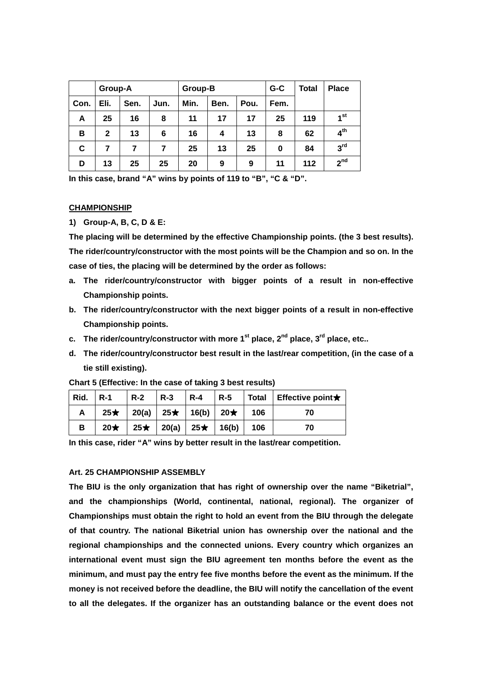|      | Group-A      |      |      | Group-B |      |      | $G-C$ | <b>Total</b> | <b>Place</b>    |
|------|--------------|------|------|---------|------|------|-------|--------------|-----------------|
| Con. | Eli.         | Sen. | Jun. | Min.    | Ben. | Pou. | Fem.  |              |                 |
| A    | 25           | 16   | 8    | 11      | 17   | 17   | 25    | 119          | 1 <sup>st</sup> |
| в    | $\mathbf{2}$ | 13   | 6    | 16      | 4    | 13   | 8     | 62           | 4 <sup>th</sup> |
| C    |              |      | 7    | 25      | 13   | 25   | 0     | 84           | 3 <sup>rd</sup> |
| D    | 13           | 25   | 25   | 20      | 9    | 9    | 11    | 112          | 2 <sup>nd</sup> |

**In this case, brand "A" wins by points of 119 to "B", "C & "D".** 

#### **CHAMPIONSHIP**

**1) Group-A, B, C, D & E:** 

**The placing will be determined by the effective Championship points. (the 3 best results). The rider/country/constructor with the most points will be the Champion and so on. In the case of ties, the placing will be determined by the order as follows:** 

- **a. The rider/country/constructor with bigger points of a result in non-effective Championship points.**
- **b. The rider/country/constructor with the next bigger points of a result in non-effective Championship points.**
- **c. The rider/country/constructor with more 1st place, 2nd place, 3rd place, etc..**
- **d. The rider/country/constructor best result in the last/rear competition, (in the case of a tie still existing).**

| Rid. $\vert$ R-1 | $R-2$ $R-3$ |  |                                                           | $\vert$ R-4 $\vert$ R-5 $\vert$ Total $\vert$ Effective point $\star$ |
|------------------|-------------|--|-----------------------------------------------------------|-----------------------------------------------------------------------|
| A                |             |  | $25\star$   20(a)   25 $\star$   16(b)   20 $\star$   106 | 70                                                                    |
| B                |             |  | $20\star$   25 $\star$   20(a)   25 $\star$   16(b)   106 | 70                                                                    |

**Chart 5 (Effective: In the case of taking 3 best results)** 

**In this case, rider "A" wins by better result in the last/rear competition.** 

#### **Art. 25 CHAMPIONSHIP ASSEMBLY**

**The BIU is the only organization that has right of ownership over the name "Biketrial", and the championships (World, continental, national, regional). The organizer of Championships must obtain the right to hold an event from the BIU through the delegate of that country. The national Biketrial union has ownership over the national and the regional championships and the connected unions. Every country which organizes an international event must sign the BIU agreement ten months before the event as the minimum, and must pay the entry fee five months before the event as the minimum. If the money is not received before the deadline, the BIU will notify the cancellation of the event to all the delegates. If the organizer has an outstanding balance or the event does not**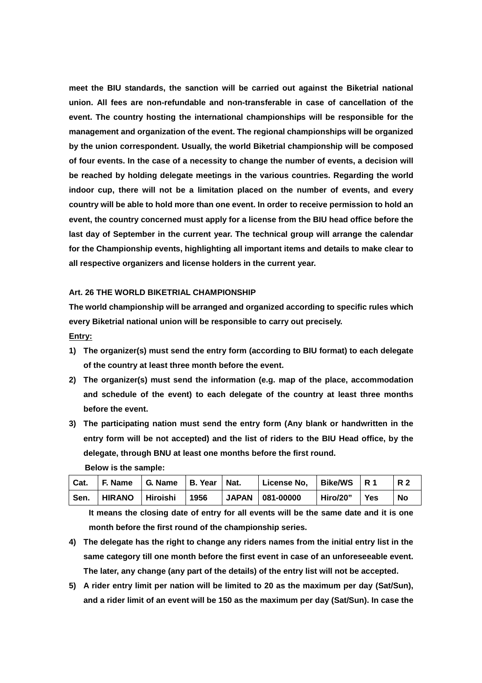**meet the BIU standards, the sanction will be carried out against the Biketrial national union. All fees are non-refundable and non-transferable in case of cancellation of the event. The country hosting the international championships will be responsible for the management and organization of the event. The regional championships will be organized by the union correspondent. Usually, the world Biketrial championship will be composed of four events. In the case of a necessity to change the number of events, a decision will be reached by holding delegate meetings in the various countries. Regarding the world indoor cup, there will not be a limitation placed on the number of events, and every country will be able to hold more than one event. In order to receive permission to hold an event, the country concerned must apply for a license from the BIU head office before the last day of September in the current year. The technical group will arrange the calendar for the Championship events, highlighting all important items and details to make clear to all respective organizers and license holders in the current year.** 

#### **Art. 26 THE WORLD BIKETRIAL CHAMPIONSHIP**

**The world championship will be arranged and organized according to specific rules which every Biketrial national union will be responsible to carry out precisely.** 

**Entry:**

- **1) The organizer(s) must send the entry form (according to BIU format) to each delegate of the country at least three month before the event.**
- **2) The organizer(s) must send the information (e.g. map of the place, accommodation and schedule of the event) to each delegate of the country at least three months before the event.**
- **3) The participating nation must send the entry form (Any blank or handwritten in the entry form will be not accepted) and the list of riders to the BIU Head office, by the delegate, through BNU at least one months before the first round.**

| Cat. | $ F.$ Name $ G.$ Name $ B.$ Year $ $ Nat. |      | License No.   Bike/WS   R 1 |          |     | <b>R2</b> |
|------|-------------------------------------------|------|-----------------------------|----------|-----|-----------|
| Sen. | HIRANO Hiroishi                           | 1956 | JAPAN   081-00000           | Hiro/20" | Yes | No        |

**Below is the sample:** 

**It means the closing date of entry for all events will be the same date and it is one month before the first round of the championship series.** 

- **4) The delegate has the right to change any riders names from the initial entry list in the same category till one month before the first event in case of an unforeseeable event. The later, any change (any part of the details) of the entry list will not be accepted.**
- **5) A rider entry limit per nation will be limited to 20 as the maximum per day (Sat/Sun), and a rider limit of an event will be 150 as the maximum per day (Sat/Sun). In case the**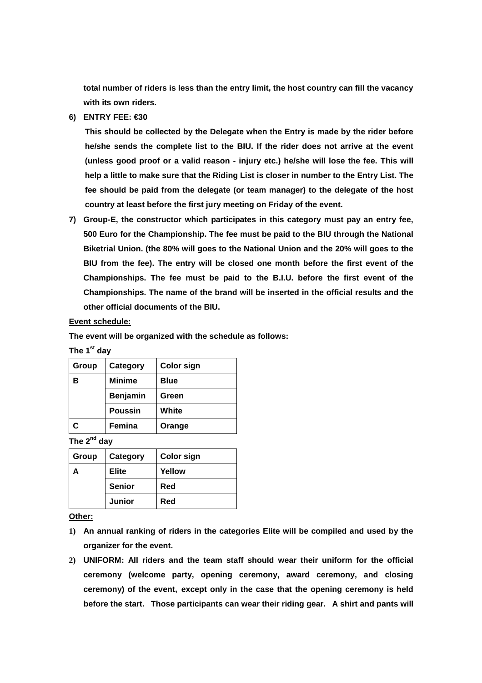**total number of riders is less than the entry limit, the host country can fill the vacancy with its own riders.** 

**6) ENTRY FEE: €30** 

**This should be collected by the Delegate when the Entry is made by the rider before he/she sends the complete list to the BIU. If the rider does not arrive at the event (unless good proof or a valid reason - injury etc.) he/she will lose the fee. This will help a little to make sure that the Riding List is closer in number to the Entry List. The fee should be paid from the delegate (or team manager) to the delegate of the host country at least before the first jury meeting on Friday of the event.** 

**7) Group-E, the constructor which participates in this category must pay an entry fee, 500 Euro for the Championship. The fee must be paid to the BIU through the National Biketrial Union. (the 80% will goes to the National Union and the 20% will goes to the BIU from the fee). The entry will be closed one month before the first event of the Championships. The fee must be paid to the B.I.U. before the first event of the Championships. The name of the brand will be inserted in the official results and the other official documents of the BIU.** 

#### **Event schedule:**

**The event will be organized with the schedule as follows:** 

**The 1st day** 

| Group | Category        | <b>Color sign</b> |
|-------|-----------------|-------------------|
| в     | <b>Minime</b>   | <b>Blue</b>       |
|       | <b>Benjamin</b> | Green             |
|       | <b>Poussin</b>  | White             |
| C     | Femina          | Orange            |

**The 2nd day** 

| Group | Category      | <b>Color sign</b> |  |
|-------|---------------|-------------------|--|
|       | <b>Elite</b>  | Yellow            |  |
|       | <b>Senior</b> | Red               |  |
|       | <b>Junior</b> | Red               |  |

**Other:**

- **1) An annual ranking of riders in the categories Elite will be compiled and used by the organizer for the event.**
- **2) UNIFORM: All riders and the team staff should wear their uniform for the official ceremony (welcome party, opening ceremony, award ceremony, and closing ceremony) of the event, except only in the case that the opening ceremony is held before the start. Those participants can wear their riding gear. A shirt and pants will**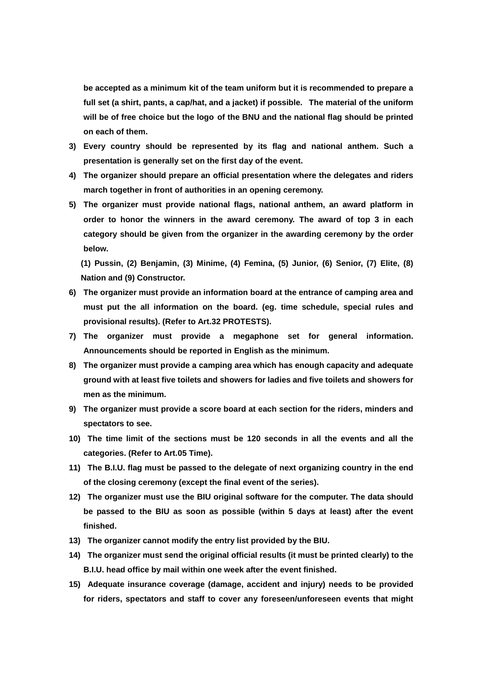**be accepted as a minimum kit of the team uniform but it is recommended to prepare a full set (a shirt, pants, a cap/hat, and a jacket) if possible. The material of the uniform will be of free choice but the logo of the BNU and the national flag should be printed on each of them.** 

- **3) Every country should be represented by its flag and national anthem. Such a presentation is generally set on the first day of the event.**
- **4) The organizer should prepare an official presentation where the delegates and riders march together in front of authorities in an opening ceremony.**
- **5) The organizer must provide national flags, national anthem, an award platform in order to honor the winners in the award ceremony. The award of top 3 in each category should be given from the organizer in the awarding ceremony by the order below.**

**(1) Pussin, (2) Benjamin, (3) Minime, (4) Femina, (5) Junior, (6) Senior, (7) Elite, (8) Nation and (9) Constructor.** 

- **6) The organizer must provide an information board at the entrance of camping area and must put the all information on the board. (eg. time schedule, special rules and provisional results). (Refer to Art.32 PROTESTS).**
- **7) The organizer must provide a megaphone set for general information. Announcements should be reported in English as the minimum.**
- **8) The organizer must provide a camping area which has enough capacity and adequate ground with at least five toilets and showers for ladies and five toilets and showers for men as the minimum.**
- **9) The organizer must provide a score board at each section for the riders, minders and spectators to see.**
- **10) The time limit of the sections must be 120 seconds in all the events and all the categories. (Refer to Art.05 Time).**
- **11) The B.I.U. flag must be passed to the delegate of next organizing country in the end of the closing ceremony (except the final event of the series).**
- **12) The organizer must use the BIU original software for the computer. The data should be passed to the BIU as soon as possible (within 5 days at least) after the event finished.**
- **13) The organizer cannot modify the entry list provided by the BIU.**
- **14) The organizer must send the original official results (it must be printed clearly) to the B.I.U. head office by mail within one week after the event finished.**
- **15) Adequate insurance coverage (damage, accident and injury) needs to be provided for riders, spectators and staff to cover any foreseen/unforeseen events that might**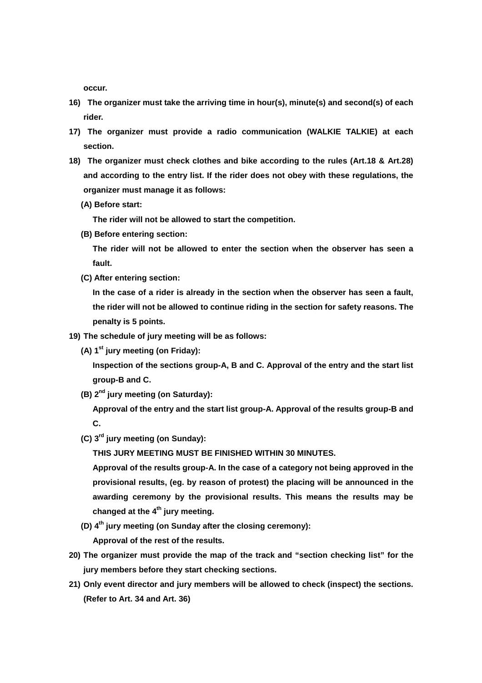**occur.** 

- **16) The organizer must take the arriving time in hour(s), minute(s) and second(s) of each rider.**
- **17) The organizer must provide a radio communication (WALKIE TALKIE) at each section.**
- **18) The organizer must check clothes and bike according to the rules (Art.18 & Art.28) and according to the entry list. If the rider does not obey with these regulations, the organizer must manage it as follows:** 
	- **(A) Before start:**

**The rider will not be allowed to start the competition.** 

**(B) Before entering section:** 

**The rider will not be allowed to enter the section when the observer has seen a fault.** 

**(C) After entering section:** 

**In the case of a rider is already in the section when the observer has seen a fault, the rider will not be allowed to continue riding in the section for safety reasons. The penalty is 5 points.** 

- **19) The schedule of jury meeting will be as follows:** 
	- **(A) 1st jury meeting (on Friday):**

**Inspection of the sections group-A, B and C. Approval of the entry and the start list group-B and C.** 

**(B) 2nd jury meeting (on Saturday):** 

**Approval of the entry and the start list group-A. Approval of the results group-B and C.** 

**(C) 3rd jury meeting (on Sunday):** 

**THIS JURY MEETING MUST BE FINISHED WITHIN 30 MINUTES.** 

**Approval of the results group-A. In the case of a category not being approved in the provisional results, (eg. by reason of protest) the placing will be announced in the awarding ceremony by the provisional results. This means the results may be changed at the 4th jury meeting.** 

**(D) 4th jury meeting (on Sunday after the closing ceremony):** 

**Approval of the rest of the results.** 

- **20) The organizer must provide the map of the track and "section checking list" for the jury members before they start checking sections.**
- **21) Only event director and jury members will be allowed to check (inspect) the sections. (Refer to Art. 34 and Art. 36)**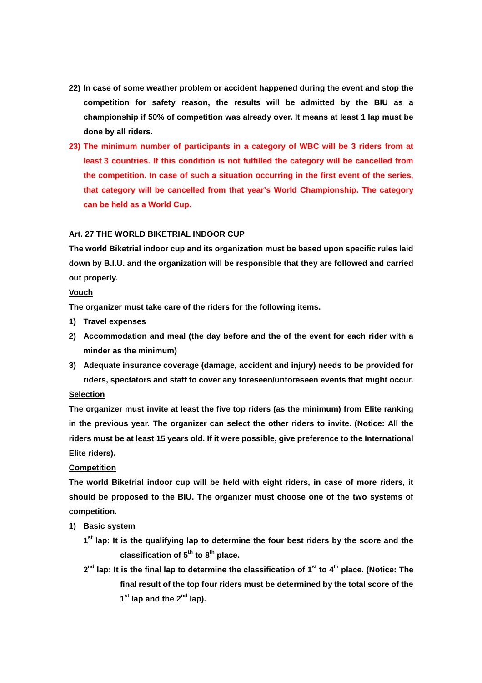- **22) In case of some weather problem or accident happened during the event and stop the competition for safety reason, the results will be admitted by the BIU as a championship if 50% of competition was already over. It means at least 1 lap must be done by all riders.**
- **23) The minimum number of participants in a category of WBC will be 3 riders from at least 3 countries. If this condition is not fulfilled the category will be cancelled from the competition. In case of such a situation occurring in the first event of the series, that category will be cancelled from that year's World Championship. The category can be held as a World Cup.**

### **Art. 27 THE WORLD BIKETRIAL INDOOR CUP**

**The world Biketrial indoor cup and its organization must be based upon specific rules laid down by B.I.U. and the organization will be responsible that they are followed and carried out properly.** 

### **Vouch**

**The organizer must take care of the riders for the following items.** 

- **1) Travel expenses**
- **2) Accommodation and meal (the day before and the of the event for each rider with a minder as the minimum)**
- **3) Adequate insurance coverage (damage, accident and injury) needs to be provided for riders, spectators and staff to cover any foreseen/unforeseen events that might occur.**

### **Selection**

**The organizer must invite at least the five top riders (as the minimum) from Elite ranking in the previous year. The organizer can select the other riders to invite. (Notice: All the riders must be at least 15 years old. If it were possible, give preference to the International Elite riders).** 

### **Competition**

**The world Biketrial indoor cup will be held with eight riders, in case of more riders, it should be proposed to the BIU. The organizer must choose one of the two systems of competition.** 

- **1) Basic system** 
	- **1 st lap: It is the qualifying lap to determine the four best riders by the score and the classification of 5th to 8th place.**
	- **2 nd lap: It is the final lap to determine the classification of 1st to 4th place. (Notice: The final result of the top four riders must be determined by the total score of the 1 st lap and the 2nd lap).**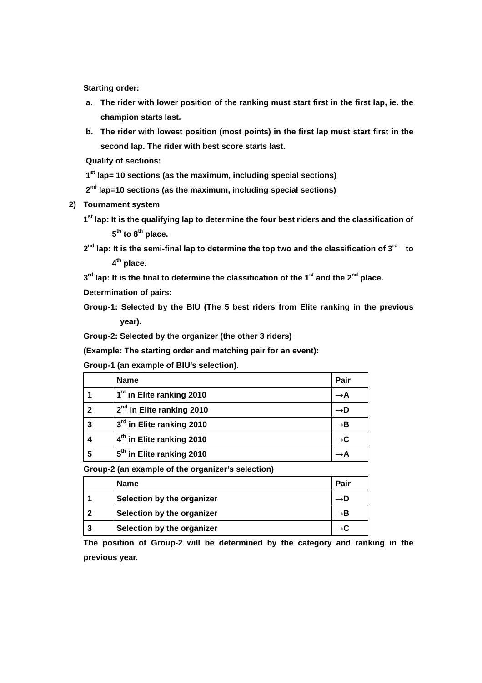**Starting order:** 

- **a. The rider with lower position of the ranking must start first in the first lap, ie. the champion starts last.**
- **b. The rider with lowest position (most points) in the first lap must start first in the second lap. The rider with best score starts last.**

**Qualify of sections:** 

**1 st lap= 10 sections (as the maximum, including special sections)** 

**2 nd lap=10 sections (as the maximum, including special sections)** 

**2) Tournament system** 

**1 st lap: It is the qualifying lap to determine the four best riders and the classification of 5 th to 8th place.** 

**2 nd lap: It is the semi-final lap to determine the top two and the classification of 3rd to 4 th place.** 

**3 rd lap: It is the final to determine the classification of the 1st and the 2nd place.** 

**Determination of pairs:** 

**Group-1: Selected by the BIU (The 5 best riders from Elite ranking in the previous year).** 

**Group-2: Selected by the organizer (the other 3 riders)** 

**(Example: The starting order and matching pair for an event):** 

**Group-1 (an example of BIU's selection).** 

|              | <b>Name</b>                           | Pair |
|--------------|---------------------------------------|------|
|              | 1 <sup>st</sup> in Elite ranking 2010 |      |
| $\mathbf{2}$ | 2 <sup>nd</sup> in Elite ranking 2010 |      |
| 3            | 3 <sup>rd</sup> in Elite ranking 2010 |      |
| 4            | 4 <sup>th</sup> in Elite ranking 2010 |      |
| 5            | 5 <sup>th</sup> in Elite ranking 2010 |      |

**Group-2 (an example of the organizer's selection)** 

|   | <b>Name</b>                | Pair |
|---|----------------------------|------|
|   | Selection by the organizer |      |
|   | Selection by the organizer |      |
| 3 | Selection by the organizer |      |

**The position of Group-2 will be determined by the category and ranking in the previous year.**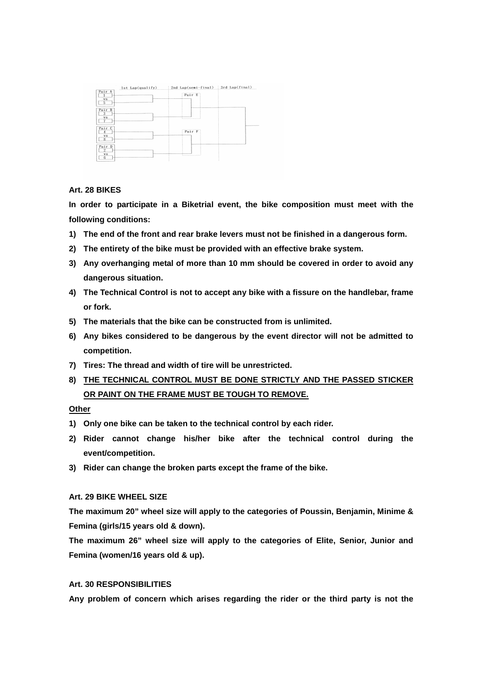| Pair A<br><b>VS</b>                                 | Pair E |  |
|-----------------------------------------------------|--------|--|
| 5<br>Pair B<br>$\overline{\overline{3}}$<br>vs<br>7 |        |  |
| Pair C<br><b>VS</b><br>8                            | Pair F |  |
| Pair D<br>$\overline{2}$<br><b>vs</b><br>6          | 3      |  |

### **Art. 28 BIKES**

**In order to participate in a Biketrial event, the bike composition must meet with the following conditions:** 

- **1) The end of the front and rear brake levers must not be finished in a dangerous form.**
- **2) The entirety of the bike must be provided with an effective brake system.**
- **3) Any overhanging metal of more than 10 mm should be covered in order to avoid any dangerous situation.**
- **4) The Technical Control is not to accept any bike with a fissure on the handlebar, frame or fork.**
- **5) The materials that the bike can be constructed from is unlimited.**
- **6) Any bikes considered to be dangerous by the event director will not be admitted to competition.**
- **7) Tires: The thread and width of tire will be unrestricted.**
- **8) THE TECHNICAL CONTROL MUST BE DONE STRICTLY AND THE PASSED STICKER OR PAINT ON THE FRAME MUST BE TOUGH TO REMOVE.**

### **Other**

- **1) Only one bike can be taken to the technical control by each rider.**
- **2) Rider cannot change his/her bike after the technical control during the event/competition.**
- **3) Rider can change the broken parts except the frame of the bike.**

### **Art. 29 BIKE WHEEL SIZE**

**The maximum 20" wheel size will apply to the categories of Poussin, Benjamin, Minime & Femina (girls/15 years old & down).** 

**The maximum 26" wheel size will apply to the categories of Elite, Senior, Junior and Femina (women/16 years old & up).** 

### **Art. 30 RESPONSIBILITIES**

**Any problem of concern which arises regarding the rider or the third party is not the**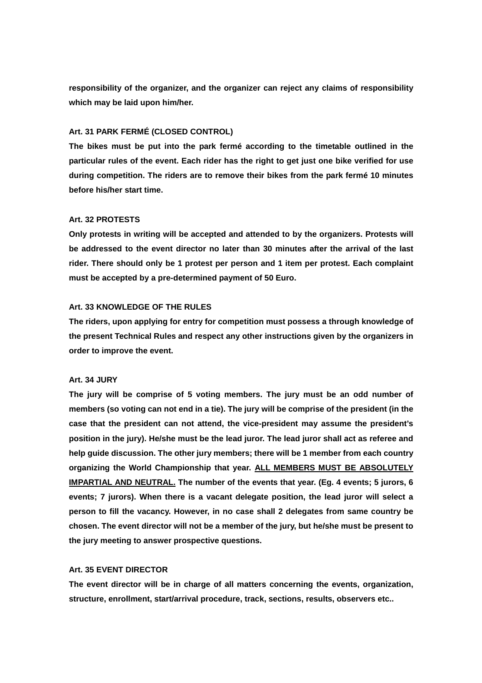**responsibility of the organizer, and the organizer can reject any claims of responsibility which may be laid upon him/her.** 

### **Art. 31 PARK FERMÉ (CLOSED CONTROL)**

**The bikes must be put into the park fermé according to the timetable outlined in the particular rules of the event. Each rider has the right to get just one bike verified for use during competition. The riders are to remove their bikes from the park fermé 10 minutes before his/her start time.** 

### **Art. 32 PROTESTS**

**Only protests in writing will be accepted and attended to by the organizers. Protests will be addressed to the event director no later than 30 minutes after the arrival of the last rider. There should only be 1 protest per person and 1 item per protest. Each complaint must be accepted by a pre-determined payment of 50 Euro.** 

#### **Art. 33 KNOWLEDGE OF THE RULES**

**The riders, upon applying for entry for competition must possess a through knowledge of the present Technical Rules and respect any other instructions given by the organizers in order to improve the event.** 

#### **Art. 34 JURY**

**The jury will be comprise of 5 voting members. The jury must be an odd number of members (so voting can not end in a tie). The jury will be comprise of the president (in the case that the president can not attend, the vice-president may assume the president's position in the jury). He/she must be the lead juror. The lead juror shall act as referee and help guide discussion. The other jury members; there will be 1 member from each country organizing the World Championship that year. ALL MEMBERS MUST BE ABSOLUTELY IMPARTIAL AND NEUTRAL. The number of the events that year. (Eg. 4 events; 5 jurors, 6 events; 7 jurors). When there is a vacant delegate position, the lead juror will select a person to fill the vacancy. However, in no case shall 2 delegates from same country be chosen. The event director will not be a member of the jury, but he/she must be present to the jury meeting to answer prospective questions.** 

#### **Art. 35 EVENT DIRECTOR**

**The event director will be in charge of all matters concerning the events, organization, structure, enrollment, start/arrival procedure, track, sections, results, observers etc..**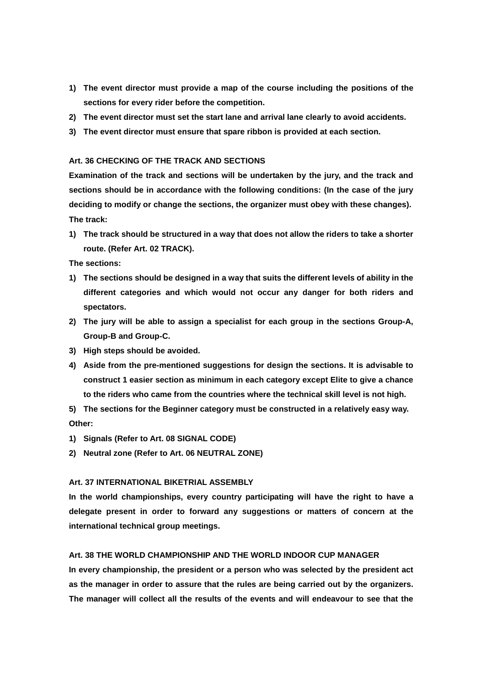- **1) The event director must provide a map of the course including the positions of the sections for every rider before the competition.**
- **2) The event director must set the start lane and arrival lane clearly to avoid accidents.**
- **3) The event director must ensure that spare ribbon is provided at each section.**

### **Art. 36 CHECKING OF THE TRACK AND SECTIONS**

**Examination of the track and sections will be undertaken by the jury, and the track and sections should be in accordance with the following conditions: (In the case of the jury deciding to modify or change the sections, the organizer must obey with these changes). The track:** 

**1) The track should be structured in a way that does not allow the riders to take a shorter route. (Refer Art. 02 TRACK).** 

**The sections:** 

- **1) The sections should be designed in a way that suits the different levels of ability in the different categories and which would not occur any danger for both riders and spectators.**
- **2) The jury will be able to assign a specialist for each group in the sections Group-A, Group-B and Group-C.**
- **3) High steps should be avoided.**
- **4) Aside from the pre-mentioned suggestions for design the sections. It is advisable to construct 1 easier section as minimum in each category except Elite to give a chance to the riders who came from the countries where the technical skill level is not high.**

**5) The sections for the Beginner category must be constructed in a relatively easy way. Other:** 

- **1) Signals (Refer to Art. 08 SIGNAL CODE)**
- **2) Neutral zone (Refer to Art. 06 NEUTRAL ZONE)**

### **Art. 37 INTERNATIONAL BIKETRIAL ASSEMBLY**

**In the world championships, every country participating will have the right to have a delegate present in order to forward any suggestions or matters of concern at the international technical group meetings.** 

### **Art. 38 THE WORLD CHAMPIONSHIP AND THE WORLD INDOOR CUP MANAGER**

**In every championship, the president or a person who was selected by the president act as the manager in order to assure that the rules are being carried out by the organizers. The manager will collect all the results of the events and will endeavour to see that the**